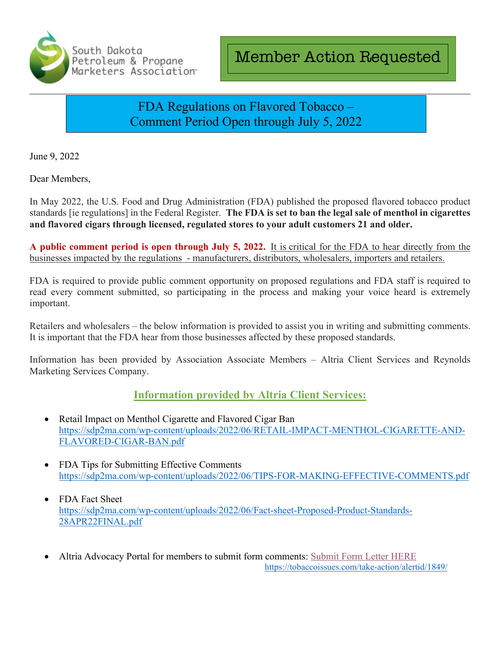

# FDA Regulations on Flavored Tobacco – Comment Period Open through July 5, 2022

June 9, 2022

Dear Members,

In May 2022, the U.S. Food and Drug Administration (FDA) published the proposed flavored tobacco product standards [ie regulations] in the Federal Register. **The FDA is set to ban the legal sale of menthol in cigarettes and flavored cigars through licensed, regulated stores to your adult customers 21 and older.**

**A public comment period is open through July 5, 2022.** It is critical for the FDA to hear directly from the businesses impacted by the regulations - manufacturers, distributors, wholesalers, importers and retailers.

FDA is required to provide public comment opportunity on proposed regulations and FDA staff is required to read every comment submitted, so participating in the process and making your voice heard is extremely important.

Retailers and wholesalers – the below information is provided to assist you in writing and submitting comments. It is important that the FDA hear from those businesses affected by these proposed standards.

Information has been provided by Association Associate Members – Altria Client Services and Reynolds Marketing Services Company.

## **Information provided by Altria Client Services:**

- Retail Impact on Menthol Cigarette and Flavored Cigar Ban https://sdp2ma.com/wp-content/uploads/2022/06/RETAIL-IMPACT-MENTHOL-CIGARETTE-AND-FLAVORED-CIGAR-BAN.pdf
- FDA Tips for Submitting Effective Comments https://sdp2ma.com/wp-content/uploads/2022/06/TIPS-FOR-MAKING-EFFECTIVE-COMMENTS.pdf
- FDA Fact Sheet https://sdp2ma.com/wp-content/uploads/2022/06/Fact-sheet-Proposed-Product-Standards-28APR22FINAL.pdf
- Altria Advocacy Portal for members to submit form comments: Submit Form Letter HERE https://tobaccoissues.com/take-action/alertid/1849/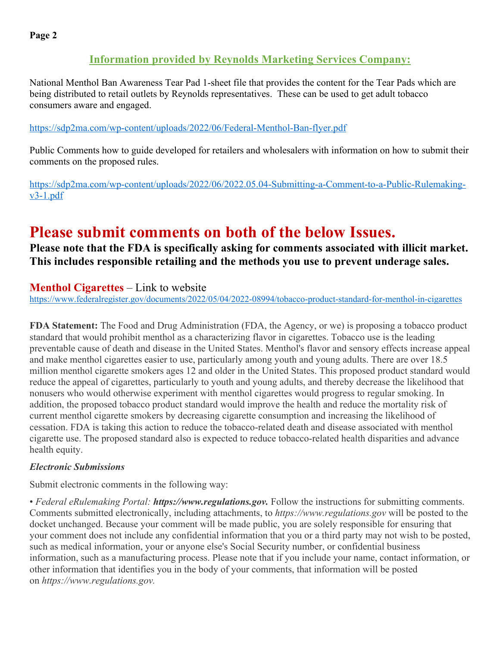# **Information provided by Reynolds Marketing Services Company:**

National Menthol Ban Awareness Tear Pad 1-sheet file that provides the content for the Tear Pads which are being distributed to retail outlets by Reynolds representatives. These can be used to get adult tobacco consumers aware and engaged.

### https://sdp2ma.com/wp-content/uploads/2022/06/Federal-Menthol-Ban-flyer.pdf

Public Comments how to guide developed for retailers and wholesalers with information on how to submit their comments on the proposed rules.

https://sdp2ma.com/wp-content/uploads/2022/06/2022.05.04-Submitting-a-Comment-to-a-Public-Rulemakingv3-1.pdf

# **Please submit comments on both of the below Issues.**<br>Please note that the FDA is specifically asking for comments associated with illicit market.

**This includes responsible retailing and the methods you use to prevent underage sales.**

# **Menthol Cigarettes** – Link to website

https://www.federalregister.gov/documents/2022/05/04/2022-08994/tobacco-product-standard-for-menthol-in-cigarettes

**FDA Statement:** The Food and Drug Administration (FDA, the Agency, or we) is proposing a tobacco product standard that would prohibit menthol as a characterizing flavor in cigarettes. Tobacco use is the leading preventable cause of death and disease in the United States. Menthol's flavor and sensory effects increase appeal and make menthol cigarettes easier to use, particularly among youth and young adults. There are over 18.5 million menthol cigarette smokers ages 12 and older in the United States. This proposed product standard would reduce the appeal of cigarettes, particularly to youth and young adults, and thereby decrease the likelihood that nonusers who would otherwise experiment with menthol cigarettes would progress to regular smoking. In addition, the proposed tobacco product standard would improve the health and reduce the mortality risk of current menthol cigarette smokers by decreasing cigarette consumption and increasing the likelihood of cessation. FDA is taking this action to reduce the tobacco-related death and disease associated with menthol cigarette use. The proposed standard also is expected to reduce tobacco-related health disparities and advance health equity.

### *Electronic Submissions*

Submit electronic comments in the following way:

• *Federal eRulemaking Portal: https://www.regulations.gov.* Follow the instructions for submitting comments. Comments submitted electronically, including attachments, to *https://www.regulations.gov* will be posted to the docket unchanged. Because your comment will be made public, you are solely responsible for ensuring that your comment does not include any confidential information that you or a third party may not wish to be posted, such as medical information, your or anyone else's Social Security number, or confidential business information, such as a manufacturing process. Please note that if you include your name, contact information, or other information that identifies you in the body of your comments, that information will be posted on *https://www.regulations.gov.*